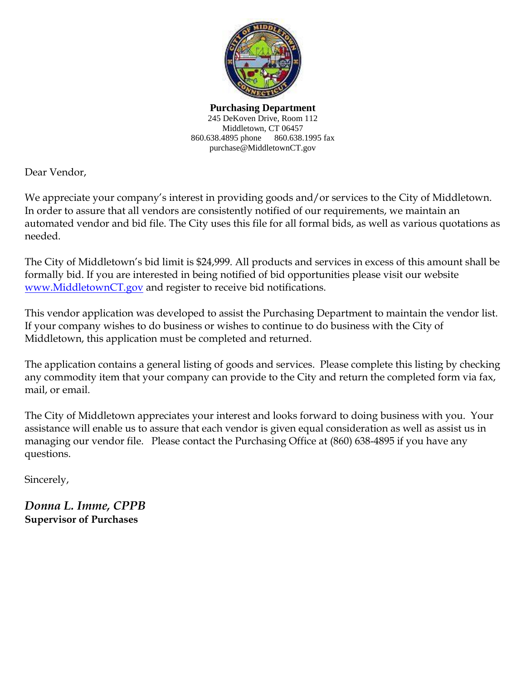

**Purchasing Department** 245 DeKoven Drive, Room 112 Middletown, CT 06457 860.638.4895 phone 860.638.1995 fax purchase@MiddletownCT.gov

Dear Vendor,

We appreciate your company's interest in providing goods and/or services to the City of Middletown. In order to assure that all vendors are consistently notified of our requirements, we maintain an automated vendor and bid file. The City uses this file for all formal bids, as well as various quotations as needed.

The City of Middletown's bid limit is \$24,999. All products and services in excess of this amount shall be formally bid. If you are interested in being notified of bid opportunities please visit our website [www.MiddletownCT.gov](http://www.middletownct.gov/) and register to receive bid notifications.

This vendor application was developed to assist the Purchasing Department to maintain the vendor list. If your company wishes to do business or wishes to continue to do business with the City of Middletown, this application must be completed and returned.

The application contains a general listing of goods and services. Please complete this listing by checking any commodity item that your company can provide to the City and return the completed form via fax, mail, or email.

The City of Middletown appreciates your interest and looks forward to doing business with you. Your assistance will enable us to assure that each vendor is given equal consideration as well as assist us in managing our vendor file. Please contact the Purchasing Office at (860) 638-4895 if you have any questions.

Sincerely,

*Donna L. Imme, CPPB* **Supervisor of Purchases**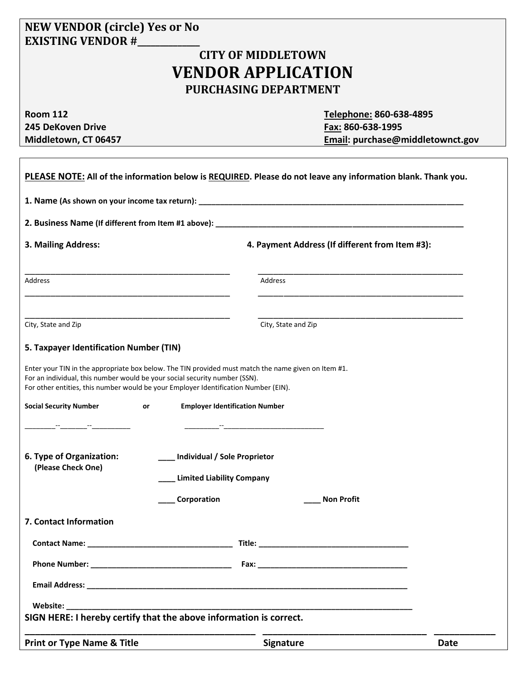## **NEW VENDOR (circle) Yes or No EXISTING VENDOR #\_\_\_\_\_\_\_\_\_\_\_\_\_\_**

## **CITY OF MIDDLETOWN VENDOR APPLICATION PURCHASING DEPARTMENT**

**245 DeKoven Drive Fax: 860-638-1995** 

**Room 112 Telephone: 860-638-4895 Middletown, CT 06457 Email: purchase@middletownct.gov**

| PLEASE NOTE: All of the information below is REQUIRED. Please do not leave any information blank. Thank you.                                                                                                                                                             |                                       |                                                  |             |
|--------------------------------------------------------------------------------------------------------------------------------------------------------------------------------------------------------------------------------------------------------------------------|---------------------------------------|--------------------------------------------------|-------------|
|                                                                                                                                                                                                                                                                          |                                       |                                                  |             |
|                                                                                                                                                                                                                                                                          |                                       |                                                  |             |
| 3. Mailing Address:                                                                                                                                                                                                                                                      |                                       | 4. Payment Address (If different from Item #3):  |             |
| Address                                                                                                                                                                                                                                                                  |                                       | Address                                          |             |
| City, State and Zip                                                                                                                                                                                                                                                      |                                       | City, State and Zip                              |             |
| 5. Taxpayer Identification Number (TIN)                                                                                                                                                                                                                                  |                                       |                                                  |             |
| Enter your TIN in the appropriate box below. The TIN provided must match the name given on Item #1.<br>For an individual, this number would be your social security number (SSN).<br>For other entities, this number would be your Employer Identification Number (EIN). |                                       |                                                  |             |
| <b>Social Security Number</b><br>or                                                                                                                                                                                                                                      | <b>Employer Identification Number</b> |                                                  |             |
|                                                                                                                                                                                                                                                                          |                                       | the control of the control of the control of the |             |
| 6. Type of Organization:<br>(Please Check One)                                                                                                                                                                                                                           | Individual / Sole Proprietor          |                                                  |             |
|                                                                                                                                                                                                                                                                          | <b>Limited Liability Company</b>      |                                                  |             |
|                                                                                                                                                                                                                                                                          | Corporation                           | <b>Non Profit</b>                                |             |
| 7. Contact Information                                                                                                                                                                                                                                                   |                                       |                                                  |             |
| <b>Contact Name:</b>                                                                                                                                                                                                                                                     | Title:                                |                                                  |             |
|                                                                                                                                                                                                                                                                          |                                       |                                                  |             |
|                                                                                                                                                                                                                                                                          |                                       |                                                  |             |
| Website:                                                                                                                                                                                                                                                                 |                                       |                                                  |             |
| SIGN HERE: I hereby certify that the above information is correct.                                                                                                                                                                                                       |                                       |                                                  |             |
| <b>Print or Type Name &amp; Title</b>                                                                                                                                                                                                                                    |                                       | <b>Signature</b>                                 | <b>Date</b> |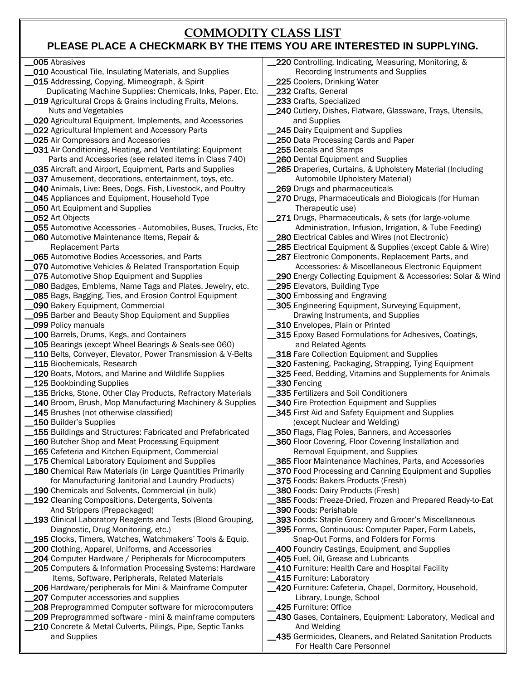## **COMMODITY CLASS LIST**

## **PLEASE PLACE A CHECKMARK BY THE ITEMS YOU ARE INTERESTED IN SUPPLYING.**

| 005 Abrasives                                                | 220 Controlling, Indicating, Measuring, Monitoring, &       |
|--------------------------------------------------------------|-------------------------------------------------------------|
| 010 Acoustical Tile, Insulating Materials, and Supplies      | Recording Instruments and Supplies                          |
| 015 Addressing, Copying, Mimeograph, & Spirit                | 225 Coolers, Drinking Water                                 |
| Duplicating Machine Supplies: Chemicals, Inks, Paper, Etc.   | 232 Crafts, General                                         |
| _019 Agricultural Crops & Grains including Fruits, Melons,   | 233 Crafts, Specialized                                     |
| Nuts and Vegetables                                          | 240 Cutlery, Dishes, Flatware, Glassware, Trays, Utensils,  |
|                                                              |                                                             |
| 020 Agricultural Equipment, Implements, and Accessories      | and Supplies                                                |
| 022 Agricultural Implement and Accessory Parts               | 245 Dairy Equipment and Supplies                            |
| 025 Air Compressors and Accessories                          | 250 Data Processing Cards and Paper                         |
| 031 Air Conditioning, Heating, and Ventilating: Equipment    | 255 Decals and Stamps                                       |
| Parts and Accessories (see related items in Class 740)       | 260 Dental Equipment and Supplies                           |
| 035 Aircraft and Airport, Equipment, Parts and Supplies      | 265 Draperies, Curtains, & Upholstery Material (Including   |
| 037 Amusement, decorations, entertainment, toys, etc.        | Automobile Upholstery Material)                             |
| 040 Animals, Live: Bees, Dogs, Fish, Livestock, and Poultry  | 269 Drugs and pharmaceuticals                               |
| 045 Appliances and Equipment, Household Type                 | 270 Drugs, Pharmaceuticals and Biologicals (for Human       |
| <b>050 Art Equipment and Supplies</b>                        | Therapeutic use)                                            |
| 052 Art Objects                                              | 271 Drugs, Pharmaceuticals, & sets (for large-volume        |
| 055 Automotive Accessories - Automobiles, Buses, Trucks, Etc | Administration, Infusion, Irrigation, & Tube Feeding)       |
| 060 Automotive Maintenance Items, Repair &                   | 280 Electrical Cables and Wires (not Electronic)            |
| <b>Replacement Parts</b>                                     | 285 Electrical Equipment & Supplies (except Cable & Wire)   |
| <b>065</b> Automotive Bodies Accessories, and Parts          | 287 Electronic Components, Replacement Parts, and           |
| 070 Automotive Vehicles & Related Transportation Equip       | Accessories: & Miscellaneous Electronic Equipment           |
| 075 Automotive Shop Equipment and Supplies                   | 290 Energy Collecting Equipment & Accessories: Solar & Wind |
| 080 Badges, Emblems, Name Tags and Plates, Jewelry, etc.     | 295 Elevators, Building Type                                |
|                                                              |                                                             |
| 085 Bags, Bagging, Ties, and Erosion Control Equipment       | 300 Embossing and Engraving                                 |
| 090 Bakery Equipment, Commercial                             | 305 Engineering Equipment, Surveying Equipment,             |
| 095 Barber and Beauty Shop Equipment and Supplies            | Drawing Instruments, and Supplies                           |
| 099 Policy manuals                                           | 310 Envelopes, Plain or Printed                             |
| 100 Barrels, Drums, Kegs, and Containers                     | 315 Epoxy Based Formulations for Adhesives, Coatings,       |
| 105 Bearings (except Wheel Bearings & Seals-see 060)         | and Related Agents                                          |
| 110 Belts, Conveyer, Elevator, Power Transmission & V-Belts  | 318 Fare Collection Equipment and Supplies                  |
| 115 Biochemicals, Research                                   | 320 Fastening, Packaging, Strapping, Tying Equipment        |
| 120 Boats, Motors, and Marine and Wildlife Supplies          | 325 Feed, Bedding, Vitamins and Supplements for Animals     |
| 125 Bookbinding Supplies                                     | 330 Fencing                                                 |
| 135 Bricks, Stone, Other Clay Products, Refractory Materials | 335 Fertilizers and Soil Conditioners                       |
| 140 Broom, Brush, Mop Manufacturing Machinery & Supplies     | 340 Fire Protection Equipment and Supplies                  |
| 145 Brushes (not otherwise classified)                       | 345 First Aid and Safety Equipment and Supplies             |
| 150 Builder's Supplies                                       | (except Nuclear and Welding)                                |
| 155 Buildings and Structures: Fabricated and Prefabricated   | 350 Flags, Flag Poles, Banners, and Accessories             |
| 160 Butcher Shop and Meat Processing Equipment               | _360 Floor Covering, Floor Covering Installation and        |
| 165 Cafeteria and Kitchen Equipment, Commercial              | Removal Equipment, and Supplies                             |
| 175 Chemical Laboratory Equipment and Supplies               | 365 Floor Maintenance Machines, Parts, and Accessories      |
| 180 Chemical Raw Materials (in Large Quantities Primarily    | 370 Food Processing and Canning Equipment and Supplies      |
| for Manufacturing Janitorial and Laundry Products)           | 375 Foods: Bakers Products (Fresh)                          |
| 190 Chemicals and Solvents, Commercial (in bulk)             | 380 Foods: Dairy Products (Fresh)                           |
| 192 Cleaning Compositions, Detergents, Solvents              | 385 Foods: Freeze-Dried, Frozen and Prepared Ready-to-Eat   |
| And Strippers (Prepackaged)                                  | 390 Foods: Perishable                                       |
|                                                              |                                                             |
| 193 Clinical Laboratory Reagents and Tests (Blood Grouping,  | 393 Foods: Staple Grocery and Grocer's Miscellaneous        |
| Diagnostic, Drug Monitoring, etc.)                           | 395 Forms, Continuous: Computer Paper, Form Labels,         |
| 195 Clocks, Timers, Watches, Watchmakers' Tools & Equip.     | Snap-Out Forms, and Folders for Forms                       |
| 200 Clothing, Apparel, Uniforms, and Accessories             | 400 Foundry Castings, Equipment, and Supplies               |
| 204 Computer Hardware / Peripherals for Microcomputers       | 405 Fuel, Oil, Grease and Lubricants                        |
| 205 Computers & Information Processing Systems: Hardware     | 410 Furniture: Health Care and Hospital Facility            |
| Items, Software, Peripherals, Related Materials              | 415 Furniture: Laboratory                                   |
| 206 Hardware/peripherals for Mini & Mainframe Computer       | 420 Furniture: Cafeteria, Chapel, Dormitory, Household,     |
| 207 Computer accessories and supplies                        | Library, Lounge, School                                     |
| 208 Preprogrammed Computer software for microcomputers       | 425 Furniture: Office                                       |
| 209 Preprogrammed software - mini & mainframe computers      | 430 Gases, Containers, Equipment: Laboratory, Medical and   |
| 210 Concrete & Metal Culverts, Pilings, Pipe, Septic Tanks   | And Welding                                                 |
| and Supplies                                                 | 435 Germicides, Cleaners, and Related Sanitation Products   |
|                                                              | For Health Care Personnel                                   |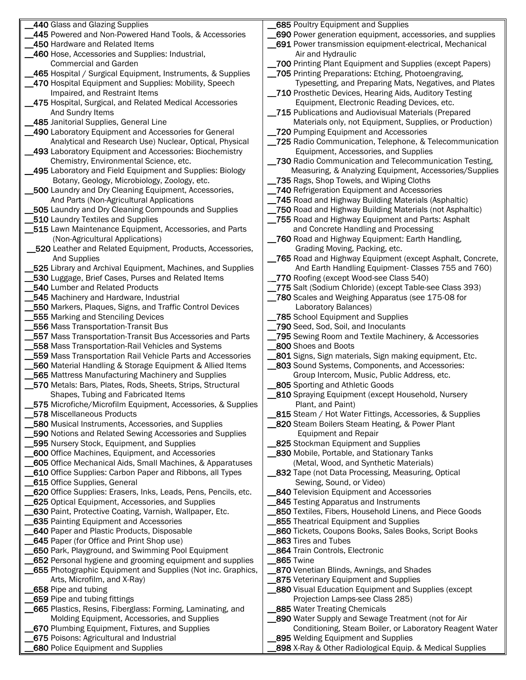| 440 Glass and Glazing Supplies                                   | 685 Poultry Equipment and Supplies                             |
|------------------------------------------------------------------|----------------------------------------------------------------|
| 445 Powered and Non-Powered Hand Tools, & Accessories            | 690 Power generation equipment, accessories, and supplies      |
| 450 Hardware and Related Items                                   | 691 Power transmission equipment-electrical, Mechanical        |
| 460 Hose, Accessories and Supplies: Industrial,                  | Air and Hydraulic                                              |
|                                                                  |                                                                |
| <b>Commercial and Garden</b>                                     | 700 Printing Plant Equipment and Supplies (except Papers)      |
| 465 Hospital / Surgical Equipment, Instruments, & Supplies       | 705 Printing Preparations: Etching, Photoengraving,            |
| _470 Hospital Equipment and Supplies: Mobility, Speech           | Typesetting, and Preparing Mats, Negatives, and Plates         |
|                                                                  |                                                                |
| Impaired, and Restraint Items                                    | 710 Prosthetic Devices, Hearing Aids, Auditory Testing         |
| 475 Hospital, Surgical, and Related Medical Accessories          | Equipment, Electronic Reading Devices, etc.                    |
| And Sundry Items                                                 | 715 Publications and Audiovisual Materials (Prepared           |
| 485 Janitorial Supplies, General Line                            |                                                                |
|                                                                  | Materials only, not Equipment, Supplies, or Production)        |
| 490 Laboratory Equipment and Accessories for General             | 720 Pumping Equipment and Accessories                          |
| Analytical and Research Use) Nuclear, Optical, Physical          | _725 Radio Communication, Telephone, & Telecommunication       |
| 493 Laboratory Equipment and Accessories: Biochemistry           | Equipment, Accessories, and Supplies                           |
|                                                                  |                                                                |
| Chemistry, Environmental Science, etc.                           | 730 Radio Communication and Telecommunication Testing,         |
| _495 Laboratory and Field Equipment and Supplies: Biology        | Measuring, & Analyzing Equipment, Accessories/Supplies         |
| Botany, Geology, Microbiology, Zoology, etc.                     | 735 Rags, Shop Towels, and Wiping Cloths                       |
|                                                                  |                                                                |
| 500 Laundry and Dry Cleaning Equipment, Accessories,             | 740 Refrigeration Equipment and Accessories                    |
| And Parts (Non-Agricultural Applications                         | 745 Road and Highway Building Materials (Asphaltic)            |
| 505 Laundry and Dry Cleaning Compounds and Supplies              | 750 Road and Highway Building Materials (not Asphaltic)        |
|                                                                  |                                                                |
| 510 Laundry Textiles and Supplies                                | _755 Road and Highway Equipment and Parts: Asphalt             |
| 515 Lawn Maintenance Equipment, Accessories, and Parts           | and Concrete Handling and Processing                           |
| (Non-Agricultural Applications)                                  | 760 Road and Highway Equipment: Earth Handling,                |
|                                                                  |                                                                |
| 520 Leather and Related Equipment, Products, Accessories,        | Grading Moving, Packing, etc.                                  |
| And Supplies                                                     | 765 Road and Highway Equipment (except Asphalt, Concrete,      |
| 525 Library and Archival Equipment, Machines, and Supplies       | And Earth Handling Equipment- Classes 755 and 760)             |
| 530 Luggage, Brief Cases, Purses and Related Items               | 770 Roofing (except Wood-see Class 540)                        |
|                                                                  |                                                                |
| 540 Lumber and Related Products                                  | 775 Salt (Sodium Chloride) (except Table-see Class 393)        |
| 545 Machinery and Hardware, Industrial                           | 780 Scales and Weighing Apparatus (see 175-08 for              |
| 550 Markers, Plaques, Signs, and Traffic Control Devices         | Laboratory Balances)                                           |
|                                                                  |                                                                |
| 555 Marking and Stenciling Devices                               | 785 School Equipment and Supplies                              |
| 556 Mass Transportation-Transit Bus                              | 790 Seed, Sod, Soil, and Inoculants                            |
| 557 Mass Transportation-Transit Bus Accessories and Parts        | 795 Sewing Room and Textile Machinery, & Accessories           |
|                                                                  |                                                                |
| 558 Mass Transportation-Rail Vehicles and Systems                | 800 Shoes and Boots                                            |
| 559 Mass Transportation Rail Vehicle Parts and Accessories       | 801 Signs, Sign materials, Sign making equipment, Etc.         |
| 560 Material Handling & Storage Equipment & Allied Items         | 803 Sound Systems, Components, and Accessories:                |
| 565 Mattress Manufacturing Machinery and Supplies                | Group Intercom, Music, Public Address, etc.                    |
|                                                                  |                                                                |
| 570 Metals: Bars, Plates, Rods, Sheets, Strips, Structural       | 805 Sporting and Athletic Goods                                |
| Shapes, Tubing and Fabricated Items                              | <b>810</b> Spraying Equipment (except Household, Nursery       |
| 575 Microfiche/Microfilm Equipment, Accessories, & Supplies      | Plant, and Paint)                                              |
| 578 Miscellaneous Products                                       | <b>815</b> Steam / Hot Water Fittings, Accessories, & Supplies |
|                                                                  |                                                                |
| 580 Musical Instruments, Accessories, and Supplies               | 820 Steam Boilers Steam Heating, & Power Plant                 |
| 590 Notions and Related Sewing Accessories and Supplies          | <b>Equipment and Repair</b>                                    |
| 595 Nursery Stock, Equipment, and Supplies                       | 825 Stockman Equipment and Supplies                            |
|                                                                  |                                                                |
| <b>600</b> Office Machines, Equipment, and Accessories           | <b>830 Mobile, Portable, and Stationary Tanks</b>              |
| <b>605</b> Office Mechanical Aids, Small Machines, & Apparatuses | (Metal, Wood, and Synthetic Materials)                         |
| 610 Office Supplies: Carbon Paper and Ribbons, all Types         | <b>832</b> Tape (not Data Processing, Measuring, Optical       |
| 615 Office Supplies, General                                     | Sewing, Sound, or Video)                                       |
|                                                                  |                                                                |
| 620 Office Supplies: Erasers, Inks, Leads, Pens, Pencils, etc.   | <b>840 Television Equipment and Accessories</b>                |
| 625 Optical Equipment, Accessories, and Supplies                 | <b>845 Testing Apparatus and Instruments</b>                   |
| 630 Paint, Protective Coating, Varnish, Wallpaper, Etc.          | 850 Textiles, Fibers, Household Linens, and Piece Goods        |
|                                                                  |                                                                |
| 635 Painting Equipment and Accessories                           | 855 Theatrical Equipment and Supplies                          |
| <b>640 Paper and Plastic Products, Disposable</b>                | 860 Tickets, Coupons Books, Sales Books, Script Books          |
| <b>645</b> Paper (for Office and Print Shop use)                 | 863 Tires and Tubes                                            |
|                                                                  | 864 Train Controls, Electronic                                 |
| 650 Park, Playground, and Swimming Pool Equipment                |                                                                |
| 652 Personal hygiene and grooming equipment and supplies         | <b>_865</b> Twine                                              |
| 655 Photographic Equipment and Supplies (Not inc. Graphics,      | 870 Venetian Blinds, Awnings, and Shades                       |
| Arts, Microfilm, and X-Ray)                                      | <b>875</b> Veterinary Equipment and Supplies                   |
|                                                                  |                                                                |
| 658 Pipe and tubing                                              | 880 Visual Education Equipment and Supplies (except            |
| 659 Pipe and tubing fittings                                     | Projection Lamps-see Class 285)                                |
| 665 Plastics, Resins, Fiberglass: Forming, Laminating, and       | 885 Water Treating Chemicals                                   |
| Molding Equipment, Accessories, and Supplies                     |                                                                |
|                                                                  | _890 Water Supply and Sewage Treatment (not for Air            |
| 670 Plumbing Equipment, Fixtures, and Supplies                   | Conditioning, Steam Boiler, or Laboratory Reagent Water        |
| 675 Poisons: Agricultural and Industrial                         | 895 Welding Equipment and Supplies                             |
| 680 Police Equipment and Supplies                                | 898 X-Ray & Other Radiological Equip. & Medical Supplies       |